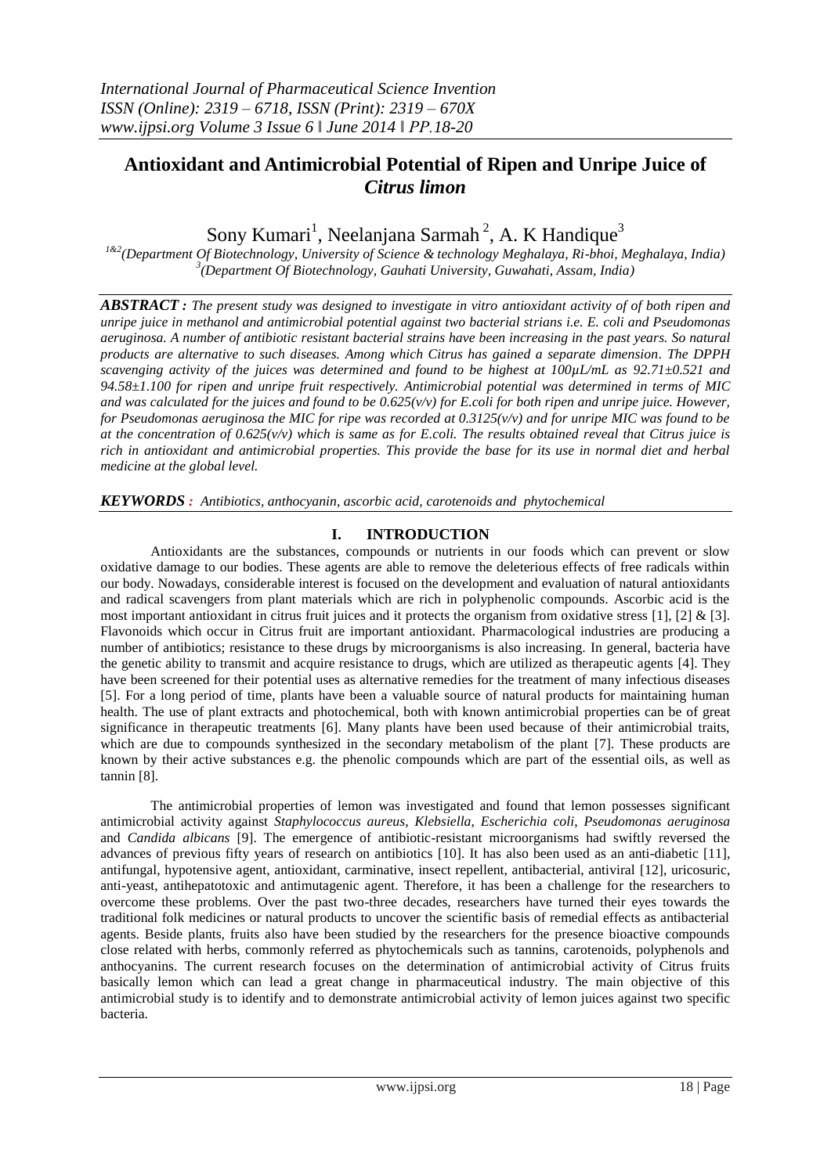# **Antioxidant and Antimicrobial Potential of Ripen and Unripe Juice of**  *Citrus limon*

Sony Kumari<sup>1</sup>, Neelanjana Sarmah<sup>2</sup>, A. K Handique<sup>3</sup>

*1&2(Department Of Biotechnology, University of Science & technology Meghalaya, Ri-bhoi, Meghalaya, India) 3 (Department Of Biotechnology, Gauhati University, Guwahati, Assam, India)* 

*ABSTRACT : The present study was designed to investigate in vitro antioxidant activity of of both ripen and unripe juice in methanol and antimicrobial potential against two bacterial strians i.e. E. coli and Pseudomonas aeruginosa. A number of antibiotic resistant bacterial strains have been increasing in the past years. So natural products are alternative to such diseases. Among which Citrus has gained a separate dimension. The DPPH scavenging activity of the juices was determined and found to be highest at 100µL/mL as 92.71±0.521 and 94.58±1.100 for ripen and unripe fruit respectively. Antimicrobial potential was determined in terms of MIC and was calculated for the juices and found to be 0.625(v/v) for E.coli for both ripen and unripe juice. However, for Pseudomonas aeruginosa the MIC for ripe was recorded at 0.3125(v/v) and for unripe MIC was found to be at the concentration of 0.625(v/v) which is same as for E.coli. The results obtained reveal that Citrus juice is rich in antioxidant and antimicrobial properties. This provide the base for its use in normal diet and herbal medicine at the global level.* 

*KEYWORDS : Antibiotics, anthocyanin, ascorbic acid, carotenoids and phytochemical*

# **I. INTRODUCTION**

Antioxidants are the substances, compounds or nutrients in our foods which can prevent or slow oxidative damage to our bodies. These agents are able to remove the deleterious effects of free radicals within our body. Nowadays, considerable interest is focused on the development and evaluation of natural antioxidants and radical scavengers from plant materials which are rich in polyphenolic compounds. Ascorbic acid is the most important antioxidant in citrus fruit juices and it protects the organism from oxidative stress  $[1]$ ,  $[2]$  &  $[3]$ . Flavonoids which occur in Citrus fruit are important antioxidant. Pharmacological industries are producing a number of antibiotics; resistance to these drugs by microorganisms is also increasing. In general, bacteria have the genetic ability to transmit and acquire resistance to drugs, which are utilized as therapeutic agents [4]. They have been screened for their potential uses as alternative remedies for the treatment of many infectious diseases [5]. For a long period of time, plants have been a valuable source of natural products for maintaining human health. The use of plant extracts and photochemical, both with known antimicrobial properties can be of great significance in therapeutic treatments [6]. Many plants have been used because of their antimicrobial traits, which are due to compounds synthesized in the secondary metabolism of the plant [7]. These products are known by their active substances e.g. the phenolic compounds which are part of the essential oils, as well as tannin [8].

The antimicrobial properties of lemon was investigated and found that lemon possesses significant antimicrobial activity against *Staphylococcus aureus*, *Klebsiella*, *Escherichia coli*, *Pseudomonas aeruginosa* and *Candida albicans* [9]. The emergence of antibiotic-resistant microorganisms had swiftly reversed the advances of previous fifty years of research on antibiotics [10]. It has also been used as an anti-diabetic [11], antifungal, hypotensive agent, antioxidant, carminative, insect repellent, antibacterial, antiviral [12], uricosuric, anti-yeast, antihepatotoxic and antimutagenic agent. Therefore, it has been a challenge for the researchers to overcome these problems. Over the past two-three decades, researchers have turned their eyes towards the traditional folk medicines or natural products to uncover the scientific basis of remedial effects as antibacterial agents. Beside plants, fruits also have been studied by the researchers for the presence bioactive compounds close related with herbs, commonly referred as phytochemicals such as tannins, carotenoids, polyphenols and anthocyanins. The current research focuses on the determination of antimicrobial activity of Citrus fruits basically lemon which can lead a great change in pharmaceutical industry. The main objective of this antimicrobial study is to identify and to demonstrate antimicrobial activity of lemon juices against two specific bacteria.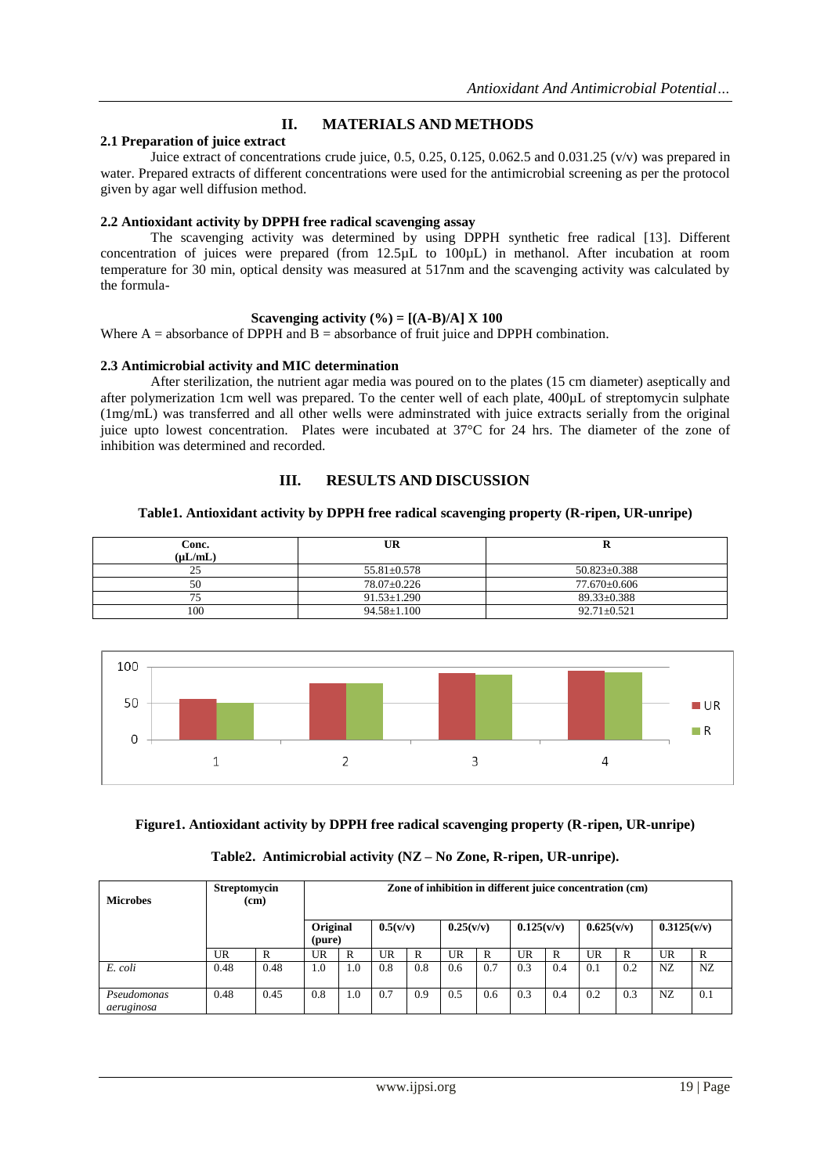# **II. MATERIALS AND METHODS**

# **2.1 Preparation of juice extract**

Juice extract of concentrations crude juice,  $0.5, 0.25, 0.125, 0.062.5$  and  $0.031.25$  (v/v) was prepared in water. Prepared extracts of different concentrations were used for the antimicrobial screening as per the protocol given by agar well diffusion method.

## **2.2 Antioxidant activity by DPPH free radical scavenging assay**

The scavenging activity was determined by using DPPH synthetic free radical [13]. Different concentration of juices were prepared (from 12.5µL to 100µL) in methanol. After incubation at room temperature for 30 min, optical density was measured at 517nm and the scavenging activity was calculated by the formula-

#### **Scavenging activity**  $(^{9}6)$  **=**  $[(A-B)/A] X 100$

Where  $A =$  absorbance of DPPH and  $B =$  absorbance of fruit juice and DPPH combination.

## **2.3 Antimicrobial activity and MIC determination**

After sterilization, the nutrient agar media was poured on to the plates (15 cm diameter) aseptically and after polymerization 1cm well was prepared. To the center well of each plate, 400µL of streptomycin sulphate (1mg/mL) was transferred and all other wells were adminstrated with juice extracts serially from the original juice upto lowest concentration. Plates were incubated at 37°C for 24 hrs. The diameter of the zone of inhibition was determined and recorded.

# **III. RESULTS AND DISCUSSION**

## **Table1. Antioxidant activity by DPPH free radical scavenging property (R-ripen, UR-unripe)**

| Conc.<br>(uL/mL) | UR                |                    |
|------------------|-------------------|--------------------|
|                  | $55.81 \pm 0.578$ | $50.823 \pm 0.388$ |
| 50               | 78.07±0.226       | $77.670 \pm 0.606$ |
|                  | $91.53 \pm 1.290$ | $89.33 \pm 0.388$  |
| 100              | $94.58 + 1.100$   | $92.71 \pm 0.521$  |



# **Figure1. Antioxidant activity by DPPH free radical scavenging property (R-ripen, UR-unripe)**

# **Table2. Antimicrobial activity (NZ – No Zone, R-ripen, UR-unripe).**

| <b>Microbes</b>           | <b>Streptomycin</b> | (cm)               | Zone of inhibition in different juice concentration (cm) |     |           |     |           |     |            |     |            |     |             |     |
|---------------------------|---------------------|--------------------|----------------------------------------------------------|-----|-----------|-----|-----------|-----|------------|-----|------------|-----|-------------|-----|
|                           |                     | Original<br>(pure) |                                                          |     | 0.5(v/v)  |     | 0.25(v/v) |     | 0.125(v/v) |     | 0.625(v/v) |     | 0.3125(v/v) |     |
|                           | UR                  |                    | UR                                                       | R   | <b>UR</b> | R   | UR.       | R   | <b>UR</b>  | R   | UR         | R   | <b>UR</b>   | R   |
| E. coli                   | 0.48                | 0.48               | 1.0                                                      | 1.0 | 0.8       | 0.8 | 0.6       | 0.7 | 0.3        | 0.4 | 0.1        | 0.2 | NZ          | NZ  |
| Pseudomonas<br>aeruginosa | 0.48                | 0.45               | 0.8                                                      | 0.1 | 0.7       | 0.9 | 0.5       | 0.6 | 0.3        | 0.4 | 0.2        | 0.3 | NZ          | 0.1 |